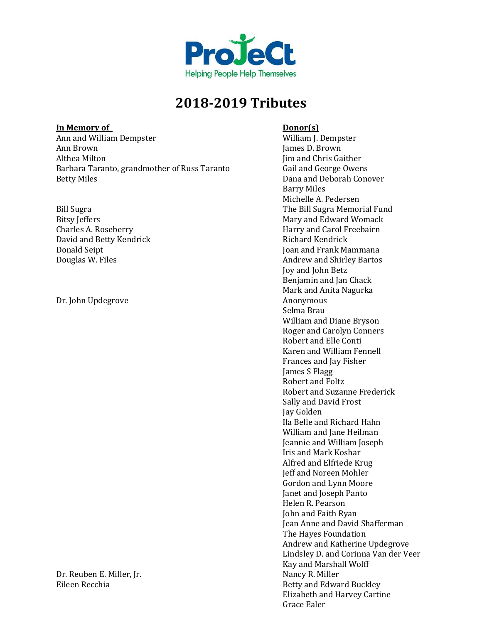

### **In Memory of Donor(s)**

Ann and William Dempster<br>
Ann Brown<br>
Ann Brown<br>
Iames D. Brown Ann Brown James D. Brown Barbara Taranto, grandmother of Russ Taranto<br>Betty Miles

David and Betty Kendrick<br>Donald Seipt

Dr. John Updegrove

Dr. Reuben E. Miller, Jr.<br>Eileen Recchia

Jim and Chris Gaither<br>Gail and George Owens Dana and Deborah Conover Barry Miles Michelle A. Pedersen Bill Sugra<br>Bitsy Jeffers<br>Bitsy Jeffers and Edward Womack Bitsy Jeffers<br>
Charles A. Roseberry<br>
Charles A. Roseberry<br>
Mary and Carol Freebairn Harry and Carol Freebairn<br>Richard Kendrick Donald Seipt Joan and Frank Mammana Andrew and Shirley Bartos Joy and John Betz Benjamin and Jan Chack Mark and Anita Nagurka Selma Brau William and Diane Bryson Roger and Carolyn Conners Robert and Elle Conti Karen and William Fennell Frances and Jay Fisher James S Flagg Robert and Foltz Robert and Suzanne Frederick Sally and David Frost Jay Golden Ila Belle and Richard Hahn William and Jane Heilman Jeannie and William Joseph Iris and Mark Koshar Alfred and Elfriede Krug Jeff and Noreen Mohler Gordon and Lynn Moore Janet and Joseph Panto Helen R. Pearson John and Faith Ryan Jean Anne and David Shafferman The Hayes Foundation Andrew and Katherine Updegrove Lindsley D. and Corinna Van der Veer Kay and Marshall Wolff Betty and Edward Buckley Elizabeth and Harvey Cartine Grace Ealer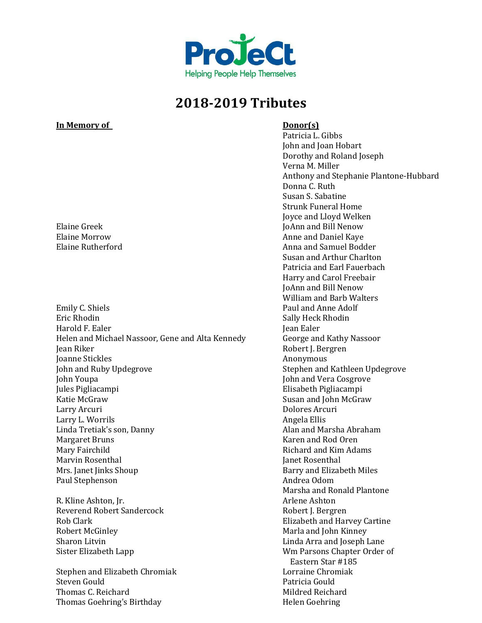

### **In Memory of Donor(s)**

Emily C. Shiels Paul and Anne Adolf Paul and Anne Adolf Paul and Anne Adolf Paul and Anne Adolf Paul and Anne Adolf Paul and Anne Adolf Paul and Anne Adolf Paul and Anne Adolf Paul and Anne Adolf Paul and Anne Adolf Paul a Eric Rhodin Sally Heck Rhodin Harold F. Ealer  $\qquad \qquad$  Jean Ealer Helen and Michael Nassoor, Gene and Alta Kennedy George and Kathy Nassoor Jean Riker (1988)<br>Jeanne Stickles (1988)<br>Jeanne Stickles (1988) Joanne Stickles<br>John and Ruby Updegrove John and Ruby Updegrove Stephen and Kathleen Updegrove John Youpa John and Vera Cosgrove Jules Pigliacampi Elisabeth Pigliacampi Katie McGraw Susan and John McGraw Susan and John McGraw Susan and John McGraw Susan and John McGraw Susan and John McGraw Susan and John McGraw Susan and John McGraw Susan and John McGraw Susan and John McGraw Susan and J Larry L. Worrils<br>Linda Tretiak's son. Danny North Communications of the Angela Ellis<br>Alan and Marsha Abraham Linda Tretiak's son, Danny<br>Margaret Bruns Margaret Bruns Karen and Rod Oren Marvin Rosenthal<br>Mrs. Janet Jinks Shoup Paul Stephenson

R. Kline Ashton, Jr. Arlene Ashton Reverend Robert Sandercock<br>Rob Clark Robert McGinley Marla and John Kinney Sharon Litvin Lapp Controller in the Linda Arra and Joseph Lane Sister Elizabeth Lapp Controller in the Um Parsons Chapter Order

Stephen and Elizabeth Chromiak Lorraine Chron<br>Steven Gould Patricia Gould Steven Gould Patricia Gould Thomas C. Reichard<br>
Thomas Goehring's Birthday<br>
Helen Goehring Mildred Reichard Thomas Goehring's Birthday

Patricia L. Gibbs John and Joan Hobart Dorothy and Roland Joseph Verna M. Miller Anthony and Stephanie Plantone-Hubbard Donna C. Ruth Susan S. Sabatine Strunk Funeral Home Joyce and Lloyd Welken Elaine Greek JoAnn and Bill Nenow<br>Elaine Morrow Claim and Daniel Kave Elaine Morrow Anne and Daniel Kaye Anna and Samuel Bodder Susan and Arthur Charlton Patricia and Earl Fauerbach Harry and Carol Freebair JoAnn and Bill Nenow William and Barb Walters Dolores Arcuri<br>Angela Ellis Richard and Kim Adams<br>Janet Rosenthal Barry and Elizabeth Miles<br>Andrea Odom Marsha and Ronald Plantone<br>Arlene Ashton Rob Clark Elizabeth and Harvey Cartine Wm Parsons Chapter Order of Eastern Star #185<br>Lorraine Chromiak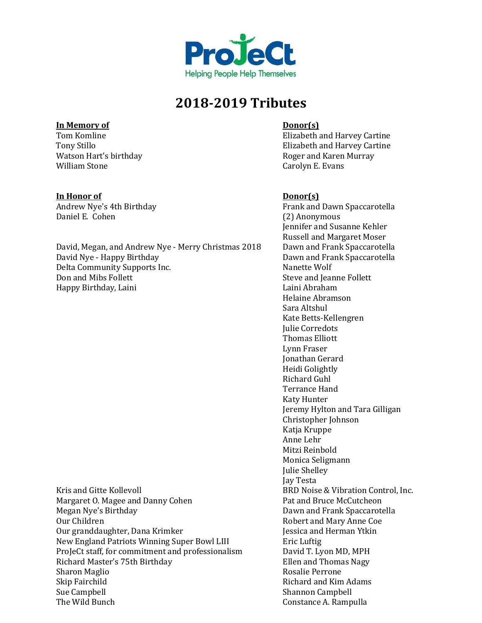

## **In Memory of Donor(s)**

Watson Hart's birthday<br>William Stone

### **In Honor of Donor(s)**

David, Megan, and Andrew Nye - Merry Christmas 2018<br>David Nye - Happy Birthday Delta Community Supports Inc.<br>Don and Mibs Follett Happy Birthday, Laini

Kris and Gitte Kollevoll<br>Margaret O. Magee and Danny Cohen<br>Pat and Bruce McCutcheon Margaret O. Magee and Danny Cohen<br>Megan Nye's Birthday Megan Nye's Birthday Dawn and Frank Spaccarotella Our granddaughter, Dana Krimker Jessica and Herman Ytkin New England Patriots Winning Super Bowl LIII Eric Luftig<br>
ProJeCt staff, for commitment and professionalism David T. Lyon MD, MPH ProJeCt staff, for commitment and professionalism David T. Lyon MD, MPH<br>Richard Master's 75th Birthday Ellen and Thomas Nagy Richard Master's 75th Birthday Ellen and Thomas Nagy Sharon Maglio<br>Skip Fairchild Skip Fairchild<br>Sue Campbell Richard and Kim Adams<br>Shannon Campbell Sue Campbell<br>
The Wild Bunch<br>
The Wild Bunch

Tom Komline Elizabeth and Harvey Cartine<br>Tony Stillo Elizabeth and Harvey Cartine Elizabeth and Harvey Cartine<br>Roger and Karen Murray Carolyn E. Evans

Andrew Nye's 4th Birthday **Frank and Dawn Spaccarotella**<br>
Daniel E. Cohen (2) Anonymous (2) Anonymous Jennifer and Susanne Kehler Russell and Margaret Moser<br>Dawn and Frank Spaccarotella Dawn and Frank Spaccarotella<br>Nanette Wolf Steve and Jeanne Follett<br>Laini Abraham Helaine Abramson Sara Altshul Kate Betts-Kellengren Julie Corredots Thomas Elliott Lynn Fraser Jonathan Gerard Heidi Golightly Richard Guhl Terrance Hand Katy Hunter Jeremy Hylton and Tara Gilligan Christopher Johnson Katja Kruppe Anne Lehr Mitzi Reinbold Monica Seligmann Julie Shelley Jay Testa Robert and Mary Anne Coe<br>Jessica and Herman Ytkin Constance A. Rampulla